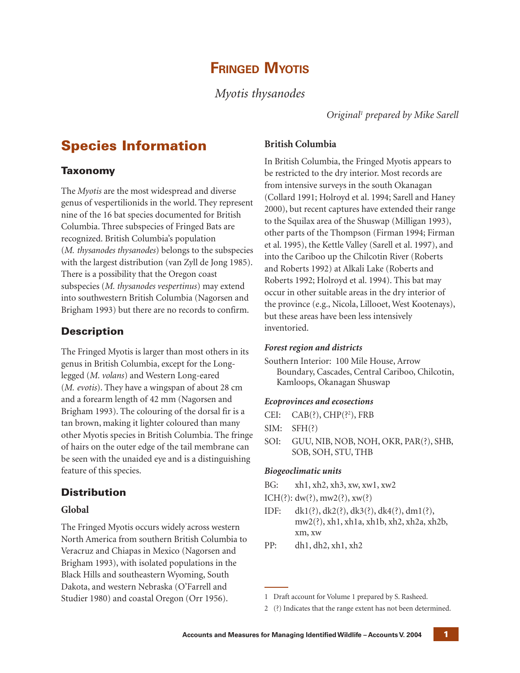# **FRINGED MYOTIS**

*Myotis thysanodes*

*Original1 prepared by Mike Sarell*

# **Species Information**

## **Taxonomy**

The *Myotis* are the most widespread and diverse genus of vespertilionids in the world. They represent nine of the 16 bat species documented for British Columbia. Three subspecies of Fringed Bats are recognized. British Columbia's population (*M. thysanodes thysanodes*) belongs to the subspecies with the largest distribution (van Zyll de Jong 1985). There is a possibility that the Oregon coast subspecies (*M. thysanodes vespertinus*) may extend into southwestern British Columbia (Nagorsen and Brigham 1993) but there are no records to confirm.

## **Description**

The Fringed Myotis is larger than most others in its genus in British Columbia, except for the Longlegged (*M. volans*) and Western Long-eared (*M. evotis*). They have a wingspan of about 28 cm and a forearm length of 42 mm (Nagorsen and Brigham 1993). The colouring of the dorsal fir is a tan brown, making it lighter coloured than many other Myotis species in British Columbia. The fringe of hairs on the outer edge of the tail membrane can be seen with the unaided eye and is a distinguishing feature of this species.

# **Distribution**

## **Global**

The Fringed Myotis occurs widely across western North America from southern British Columbia to Veracruz and Chiapas in Mexico (Nagorsen and Brigham 1993), with isolated populations in the Black Hills and southeastern Wyoming, South Dakota, and western Nebraska (O'Farrell and Studier 1980) and coastal Oregon (Orr 1956).

## **British Columbia**

In British Columbia, the Fringed Myotis appears to be restricted to the dry interior. Most records are from intensive surveys in the south Okanagan (Collard 1991; Holroyd et al. 1994; Sarell and Haney 2000), but recent captures have extended their range to the Squilax area of the Shuswap (Milligan 1993), other parts of the Thompson (Firman 1994; Firman et al. 1995), the Kettle Valley (Sarell et al. 1997), and into the Cariboo up the Chilcotin River (Roberts and Roberts 1992) at Alkali Lake (Roberts and Roberts 1992; Holroyd et al. 1994). This bat may occur in other suitable areas in the dry interior of the province (e.g., Nicola, Lillooet, West Kootenays), but these areas have been less intensively inventoried.

## *Forest region and districts*

Southern Interior: 100 Mile House, Arrow Boundary, Cascades, Central Cariboo, Chilcotin, Kamloops, Okanagan Shuswap

## *Ecoprovinces and ecosections*

SIM: SFH(?)

SOI: GUU, NIB, NOB, NOH, OKR, PAR(?), SHB, SOB, SOH, STU, THB

## *Biogeoclimatic units*

BG: xh1, xh2, xh3, xw, xw1, xw2

ICH(?):  $dw(?)$ , mw2(?), xw(?)

IDF: dk1(?), dk2(?), dk3(?), dk4(?), dm1(?), mw2(?), xh1, xh1a, xh1b, xh2, xh2a, xh2b, xm, xw

PP: dh1, dh2, xh1, xh2

<sup>1</sup> Draft account for Volume 1 prepared by S. Rasheed.

<sup>2 (?)</sup> Indicates that the range extent has not been determined.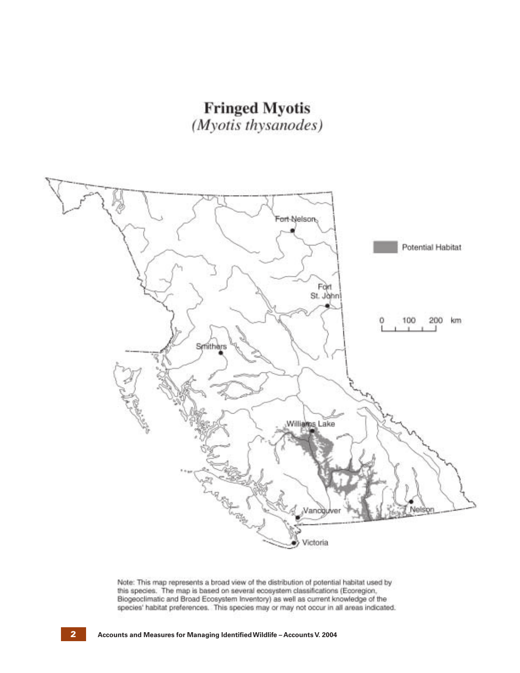



Note: This map represents a broad view of the distribution of potential habitat used by this species. The map is based on several ecosystem classifications (Ecoregion, Biogeoclimatic and Broad Ecosystem Inventory) as well as current knowledge of the species' habitat preferences. This species may or may not occur in all areas indicated.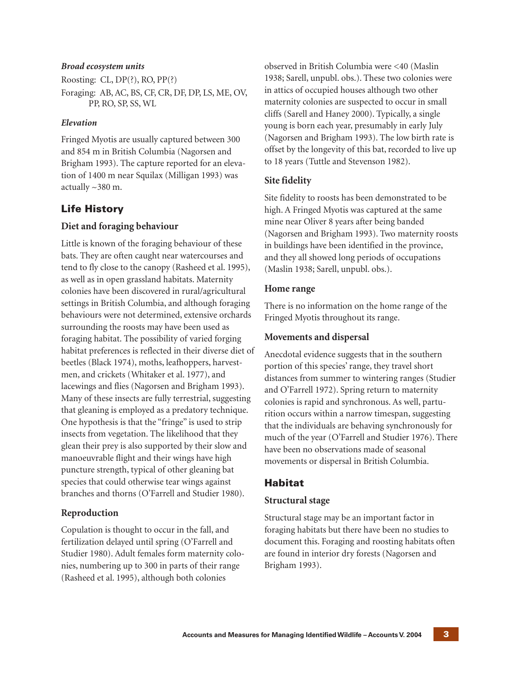#### *Broad ecosystem units*

Roosting: CL, DP(?), RO, PP(?) Foraging: AB, AC, BS, CF, CR, DF, DP, LS, ME, OV, PP, RO, SP, SS, WL

#### *Elevation*

Fringed Myotis are usually captured between 300 and 854 m in British Columbia (Nagorsen and Brigham 1993). The capture reported for an elevation of 1400 m near Squilax (Milligan 1993) was actually ~380 m.

## **Life History**

### **Diet and foraging behaviour**

Little is known of the foraging behaviour of these bats. They are often caught near watercourses and tend to fly close to the canopy (Rasheed et al. 1995), as well as in open grassland habitats. Maternity colonies have been discovered in rural/agricultural settings in British Columbia, and although foraging behaviours were not determined, extensive orchards surrounding the roosts may have been used as foraging habitat. The possibility of varied forging habitat preferences is reflected in their diverse diet of beetles (Black 1974), moths, leafhoppers, harvestmen, and crickets (Whitaker et al. 1977), and lacewings and flies (Nagorsen and Brigham 1993). Many of these insects are fully terrestrial, suggesting that gleaning is employed as a predatory technique. One hypothesis is that the "fringe" is used to strip insects from vegetation. The likelihood that they glean their prey is also supported by their slow and manoeuvrable flight and their wings have high puncture strength, typical of other gleaning bat species that could otherwise tear wings against branches and thorns (O'Farrell and Studier 1980).

### **Reproduction**

Copulation is thought to occur in the fall, and fertilization delayed until spring (O'Farrell and Studier 1980). Adult females form maternity colonies, numbering up to 300 in parts of their range (Rasheed et al. 1995), although both colonies

observed in British Columbia were <40 (Maslin 1938; Sarell, unpubl. obs.). These two colonies were in attics of occupied houses although two other maternity colonies are suspected to occur in small cliffs (Sarell and Haney 2000). Typically, a single young is born each year, presumably in early July (Nagorsen and Brigham 1993). The low birth rate is offset by the longevity of this bat, recorded to live up to 18 years (Tuttle and Stevenson 1982).

### **Site fidelity**

Site fidelity to roosts has been demonstrated to be high. A Fringed Myotis was captured at the same mine near Oliver 8 years after being banded (Nagorsen and Brigham 1993). Two maternity roosts in buildings have been identified in the province, and they all showed long periods of occupations (Maslin 1938; Sarell, unpubl. obs.).

#### **Home range**

There is no information on the home range of the Fringed Myotis throughout its range.

#### **Movements and dispersal**

Anecdotal evidence suggests that in the southern portion of this species' range, they travel short distances from summer to wintering ranges (Studier and O'Farrell 1972). Spring return to maternity colonies is rapid and synchronous. As well, parturition occurs within a narrow timespan, suggesting that the individuals are behaving synchronously for much of the year (O'Farrell and Studier 1976). There have been no observations made of seasonal movements or dispersal in British Columbia.

## **Habitat**

### **Structural stage**

Structural stage may be an important factor in foraging habitats but there have been no studies to document this. Foraging and roosting habitats often are found in interior dry forests (Nagorsen and Brigham 1993).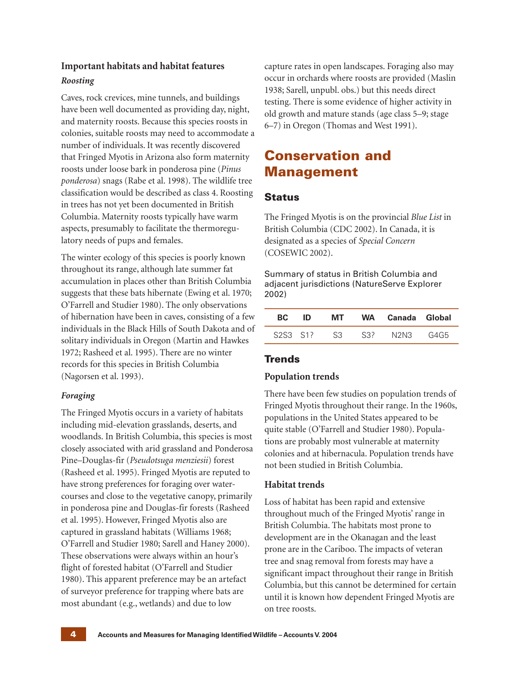# **Important habitats and habitat features** *Roosting*

Caves, rock crevices, mine tunnels, and buildings have been well documented as providing day, night, and maternity roosts. Because this species roosts in colonies, suitable roosts may need to accommodate a number of individuals. It was recently discovered that Fringed Myotis in Arizona also form maternity roosts under loose bark in ponderosa pine (*Pinus ponderosa*) snags (Rabe et al. 1998). The wildlife tree classification would be described as class 4. Roosting in trees has not yet been documented in British Columbia. Maternity roosts typically have warm aspects, presumably to facilitate the thermoregulatory needs of pups and females.

The winter ecology of this species is poorly known throughout its range, although late summer fat accumulation in places other than British Columbia suggests that these bats hibernate (Ewing et al. 1970; O'Farrell and Studier 1980). The only observations of hibernation have been in caves, consisting of a few individuals in the Black Hills of South Dakota and of solitary individuals in Oregon (Martin and Hawkes 1972; Rasheed et al. 1995). There are no winter records for this species in British Columbia (Nagorsen et al. 1993).

## *Foraging*

The Fringed Myotis occurs in a variety of habitats including mid-elevation grasslands, deserts, and woodlands. In British Columbia, this species is most closely associated with arid grassland and Ponderosa Pine–Douglas-fir (*Pseudotsuga menziesii*) forest (Rasheed et al. 1995). Fringed Myotis are reputed to have strong preferences for foraging over watercourses and close to the vegetative canopy, primarily in ponderosa pine and Douglas-fir forests (Rasheed et al. 1995). However, Fringed Myotis also are captured in grassland habitats (Williams 1968; O'Farrell and Studier 1980; Sarell and Haney 2000). These observations were always within an hour's flight of forested habitat (O'Farrell and Studier 1980). This apparent preference may be an artefact of surveyor preference for trapping where bats are most abundant (e.g., wetlands) and due to low

capture rates in open landscapes. Foraging also may occur in orchards where roosts are provided (Maslin 1938; Sarell, unpubl. obs.) but this needs direct testing. There is some evidence of higher activity in old growth and mature stands (age class 5–9; stage 6–7) in Oregon (Thomas and West 1991).

# **Conservation and Management**

## **Status**

The Fringed Myotis is on the provincial *Blue List* in British Columbia (CDC 2002). In Canada, it is designated as a species of *Special Concern* (COSEWIC 2002).

Summary of status in British Columbia and adjacent jurisdictions (NatureServe Explorer 2002)

| BC.      | ID | MT. |     | WA Canada Global |      |
|----------|----|-----|-----|------------------|------|
| S2S3 S12 |    | S3  | S32 | N2N3 -           | G4G5 |

# **Trends**

## **Population trends**

There have been few studies on population trends of Fringed Myotis throughout their range. In the 1960s, populations in the United States appeared to be quite stable (O'Farrell and Studier 1980). Populations are probably most vulnerable at maternity colonies and at hibernacula. Population trends have not been studied in British Columbia.

## **Habitat trends**

Loss of habitat has been rapid and extensive throughout much of the Fringed Myotis' range in British Columbia. The habitats most prone to development are in the Okanagan and the least prone are in the Cariboo. The impacts of veteran tree and snag removal from forests may have a significant impact throughout their range in British Columbia, but this cannot be determined for certain until it is known how dependent Fringed Myotis are on tree roosts.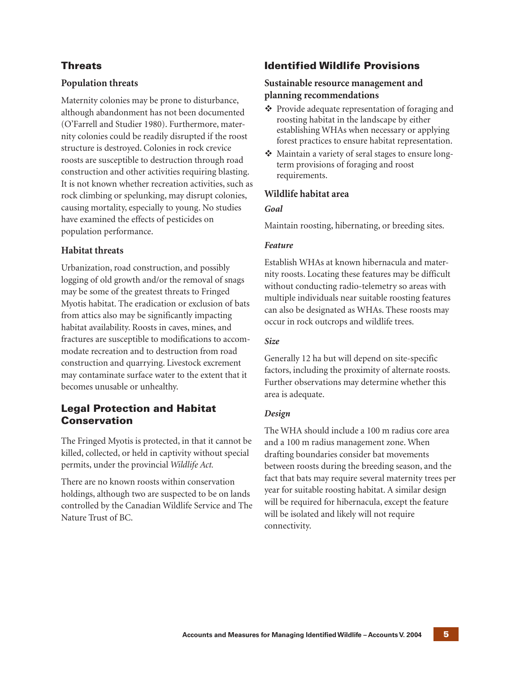## **Threats**

## **Population threats**

Maternity colonies may be prone to disturbance, although abandonment has not been documented (O'Farrell and Studier 1980). Furthermore, maternity colonies could be readily disrupted if the roost structure is destroyed. Colonies in rock crevice roosts are susceptible to destruction through road construction and other activities requiring blasting. It is not known whether recreation activities, such as rock climbing or spelunking, may disrupt colonies, causing mortality, especially to young. No studies have examined the effects of pesticides on population performance.

### **Habitat threats**

Urbanization, road construction, and possibly logging of old growth and/or the removal of snags may be some of the greatest threats to Fringed Myotis habitat. The eradication or exclusion of bats from attics also may be significantly impacting habitat availability. Roosts in caves, mines, and fractures are susceptible to modifications to accommodate recreation and to destruction from road construction and quarrying. Livestock excrement may contaminate surface water to the extent that it becomes unusable or unhealthy.

## **Legal Protection and Habitat Conservation**

The Fringed Myotis is protected, in that it cannot be killed, collected, or held in captivity without special permits, under the provincial *Wildlife Act.*

There are no known roosts within conservation holdings, although two are suspected to be on lands controlled by the Canadian Wildlife Service and The Nature Trust of BC.

## **Identified Wildlife Provisions**

## **Sustainable resource management and planning recommendations**

- Provide adequate representation of foraging and roosting habitat in the landscape by either establishing WHAs when necessary or applying forest practices to ensure habitat representation.
- Maintain a variety of seral stages to ensure longterm provisions of foraging and roost requirements.

#### **Wildlife habitat area**

#### *Goal*

Maintain roosting, hibernating, or breeding sites.

#### *Feature*

Establish WHAs at known hibernacula and maternity roosts. Locating these features may be difficult without conducting radio-telemetry so areas with multiple individuals near suitable roosting features can also be designated as WHAs. These roosts may occur in rock outcrops and wildlife trees.

#### *Size*

Generally 12 ha but will depend on site-specific factors, including the proximity of alternate roosts. Further observations may determine whether this area is adequate.

### *Design*

The WHA should include a 100 m radius core area and a 100 m radius management zone. When drafting boundaries consider bat movements between roosts during the breeding season, and the fact that bats may require several maternity trees per year for suitable roosting habitat. A similar design will be required for hibernacula, except the feature will be isolated and likely will not require connectivity.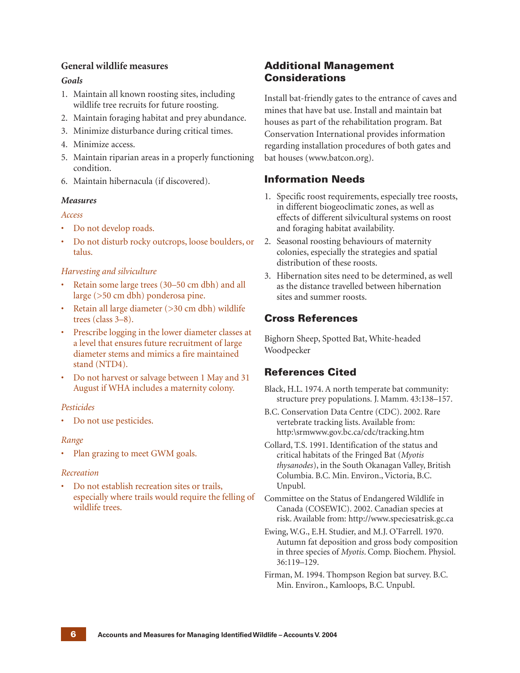### **General wildlife measures**

#### *Goals*

- 1. Maintain all known roosting sites, including wildlife tree recruits for future roosting.
- 2. Maintain foraging habitat and prey abundance.
- 3. Minimize disturbance during critical times.
- 4. Minimize access.
- 5. Maintain riparian areas in a properly functioning condition.
- 6. Maintain hibernacula (if discovered).

#### *Measures*

#### *Access*

- Do not develop roads.
- Do not disturb rocky outcrops, loose boulders, or talus.

#### *Harvesting and silviculture*

- Retain some large trees (30–50 cm dbh) and all large (>50 cm dbh) ponderosa pine.
- Retain all large diameter (>30 cm dbh) wildlife trees (class 3–8).
- Prescribe logging in the lower diameter classes at a level that ensures future recruitment of large diameter stems and mimics a fire maintained stand (NTD4).
- Do not harvest or salvage between 1 May and 31 August if WHA includes a maternity colony.

#### *Pesticides*

• Do not use pesticides.

#### *Range*

• Plan grazing to meet GWM goals.

#### *Recreation*

• Do not establish recreation sites or trails, especially where trails would require the felling of wildlife trees.

## **Additional Management Considerations**

Install bat-friendly gates to the entrance of caves and mines that have bat use. Install and maintain bat houses as part of the rehabilitation program. Bat Conservation International provides information regarding installation procedures of both gates and bat houses (www.batcon.org).

## **Information Needs**

- 1. Specific roost requirements, especially tree roosts, in different biogeoclimatic zones, as well as effects of different silvicultural systems on roost and foraging habitat availability.
- 2. Seasonal roosting behaviours of maternity colonies, especially the strategies and spatial distribution of these roosts.
- 3. Hibernation sites need to be determined, as well as the distance travelled between hibernation sites and summer roosts.

## **Cross References**

Bighorn Sheep, Spotted Bat, White-headed Woodpecker

## **References Cited**

Black, H.L. 1974. A north temperate bat community: structure prey populations. J. Mamm. 43:138–157.

- B.C. Conservation Data Centre (CDC). 2002. Rare vertebrate tracking lists. Available from: http:\srmwww.gov.bc.ca/cdc/tracking.htm
- Collard, T.S. 1991. Identification of the status and critical habitats of the Fringed Bat (*Myotis thysanodes*), in the South Okanagan Valley, British Columbia. B.C. Min. Environ., Victoria, B.C. Unpubl.
- Committee on the Status of Endangered Wildlife in Canada (COSEWIC). 2002. Canadian species at risk. Available from: http://www.speciesatrisk.gc.ca
- Ewing, W.G., E.H. Studier, and M.J. O'Farrell. 1970. Autumn fat deposition and gross body composition in three species of *Myotis*. Comp. Biochem. Physiol. 36:119–129.
- Firman, M. 1994. Thompson Region bat survey. B.C. Min. Environ., Kamloops, B.C. Unpubl.